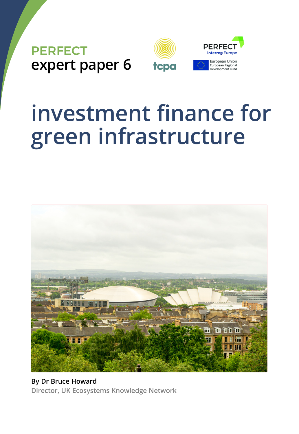

# **investment finance for green infrastructure**



**By Dr Bruce Howard Director, UK Ecosystems Knowledge Network**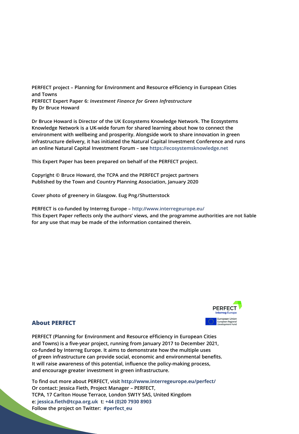**PERFECT project** *–* **Planning for Environment and Resource eFficiency in European Cities and Towns PERFECT Expert Paper 6:** *Investment Finance for Green Infrastructure* **By Dr Bruce Howard**

**Dr Bruce Howard is Director of the UK Ecosystems Knowledge Network. The Ecosystems Knowledge Network is a UK-wide forum for shared learning about how to connect the environment with wellbeing and prosperity. Alongside work to share innovation in green infrastructure delivery, it has initiated the Natural Capital Investment Conference and runs an online Natural Capital Investment Forum – see https://ecosystemsknowledge.net**

**This Expert Paper has been prepared on behalf of the PERFECT project.**

**Copyright © Bruce Howard, the TCPA and the PERFECT project partners Published by the Town and Country Planning Association, January 2020**

**Cover photo of greenery in Glasgow. Eug Png/Shutterstock**

**PERFECT is co-funded by Interreg Europe** *–* **http://www.interregeurope.eu/ This Expert Paper reflects only the authors' views, and the programme authorities are not liable for any use that may be made of the information contained therein.**



#### **About PERFECT**

**PERFECT (Planning for Environment and Resource eFficiency in European Cities and Towns) is a five-year project, running from January 2017 to December 2021, co-funded by Interreg Europe. It aims to demonstrate how the multiple uses of green infrastructure can provide social, economic and environmental benefits. It will raise awareness of this potential, influence the policy-making process, and encourage greater investment in green infrastructure.**

**To find out more about PERFECT, visit http://www.interregeurope.eu/perfect/ Or contact: Jessica Fieth, Project Manager – PERFECT, TCPA, 17 Carlton House Terrace, London SW1Y 5AS, United Kingdom e: jessica.fieth@tcpa.org.uk t: +44 (0)20 7930 8903 Follow the project on Twitter: #perfect\_eu**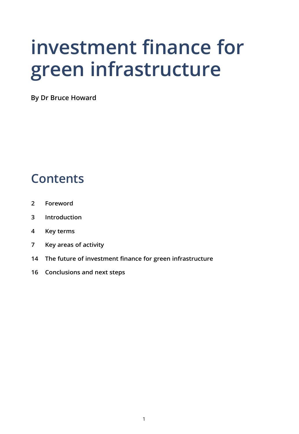# **investment finance for green infrastructure**

**By Dr Bruce Howard**

### **Contents**

- **2 Foreword**
- **3 Introduction**
- **4 Key terms**
- **7 Key areas of activity**
- **14 The future of investment finance for green infrastructure**
- **16 Conclusions and next steps**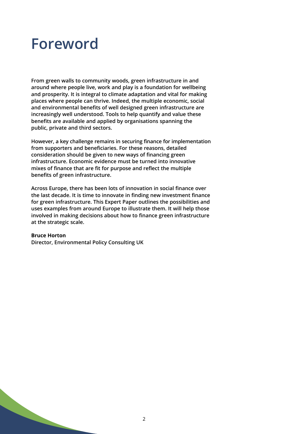### **Foreword**

**From green walls to community woods, green infrastructure in and around where people live, work and play is a foundation for wellbeing and prosperity. It is integral to climate adaptation and vital for making places where people can thrive. Indeed, the multiple economic, social and environmental benefits of well designed green infrastructure are increasingly well understood. Tools to help quantify and value these benefits are available and applied by organisations spanning the public, private and third sectors.**

**However, a key challenge remains in securing finance for implementation from supporters and beneficiaries. For these reasons, detailed consideration should be given to new ways of financing green infrastructure. Economic evidence must be turned into innovative mixes of finance that are fit for purpose and reflect the multiple benefits of green infrastructure.**

**Across Europe, there has been lots of innovation in social finance over the last decade. It is time to innovate in finding new investment finance for green infrastructure. This Expert Paper outlines the possibilities and uses examples from around Europe to illustrate them. It will help those involved in making decisions about how to finance green infrastructure at the strategic scale.**

#### **Bruce Horton**

**Director, Environmental Policy Consulting UK**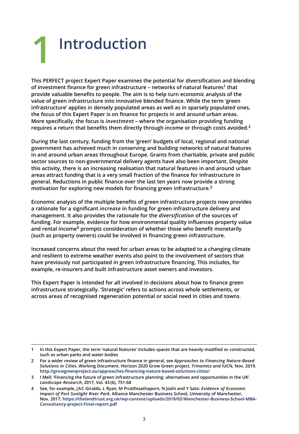### **Introduction 1**

**This PERFECT project Expert Paper examines the potential for diversification and blending of investment finance for green infrastructure – networks of natural features1 that provide valuable benefits to people. The aim is to help turn economic analysis of the value of green infrastructure into innovative blended finance. While the term 'green infrastructure' applies in densely populated areas as well as in sparsely populated ones, the focus of this Expert Paper is on finance for projects in and around urban areas. More specifically, the focus is** *investment* **– where the organisation providing funding requires a return that benefits them directly through income or through costs avoided.2**

**During the last century, funding from the 'green' budgets of local, regional and national government has achieved much in conserving and building networks of natural features in and around urban areas throughout Europe. Grants from charitable, private and public sector sources to non-governmental delivery agents have also been important. Despite this activity, there is an increasing realisation that natural features in and around urban areas attract funding that is a very small fraction of the finance for infrastructure in general. Reductions in public finance over the last ten years now provide a strong motivation for exploring new models for financing green infrastructure.3**

**Economic analysis of the multiple benefits of green infrastructure projects now provides a rationale for a significant** *increase* **in funding for green infrastructure delivery and management. It also provides the rationale for the** *diversification* **of the sources of funding. For example, evidence for how environmental quality influences property value and rental income4 prompts consideration of whether those who benefit monetarily (such as property owners) could be involved in financing green infrastructure.**

**Increased concerns about the need for urban areas to be adapted to a changing climate and resilient to extreme weather events also point to the involvement of sectors that have previously not participated in green infrastructure financing. This includes, for example, re-insurers and built infrastructure asset owners and investors.**

**This Expert Paper is intended for all involved in decisions about how to finance green infrastructure strategically. 'Strategic' refers to actions across whole settlements, or across areas of recognised regeneration potential or social need in cities and towns.**

**<sup>1</sup> In this Expert Paper, the term 'natural features' includes spaces that are heavily modified or constructed, such as urban parks and water bodies**

**<sup>2</sup> For a wider review of green infrastructure finance in general, see** *Approaches to Financing Nature-Based Solutions in Cities***. Working Document. Horizon 2020 Grow Green project. Trinomics and IUCN, Nov. 2019. http://growgreenproject.eu/approaches-financing-nature-based-solutions-cities/**

**<sup>3</sup> I Mell: 'Financing the future of green infrastructure planning: alternatives and opportunities in the UK'.** *Landscape Research***, 2017, Vol. 43 (6), 751-68**

**<sup>4</sup> See, for example, JAC Giraldo, L Ryan, M Prutthisathaporn, N Joshi and Y Sato:** *Evidence of Economic Impact of Port Sunlight River Park***. Alliance Manchester Business School, University of Manchester, Nov. 2017. https://thelandtrust.org.uk/wp-content/uploads/2018/02/Manchester-Business-School-MBA-Consultancy-project-Final-report.pdf**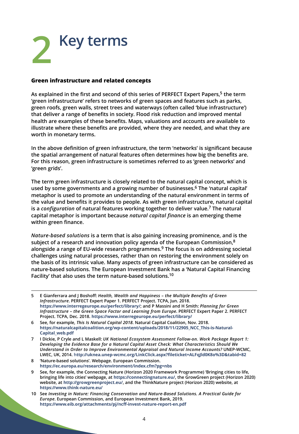## **Key terms 2**

#### **Green infrastructure and related concepts**

**As explained in the first and second of this series of PERFECT Expert Papers,5 the term 'green infrastructure' refers to networks of green spaces and features such as parks, green roofs, green walls, street trees and waterways (often called 'blue infrastructure') that deliver a range of benefits in society. Flood risk reduction and improved mental health are examples of these benefits. Maps, valuations and accounts are available to illustrate where these benefits are provided, where they are needed, and what they are worth in monetary terms.**

**In the above definition of green infrastructure, the term 'networks' is significant because the spatial arrangement of natural features often determines how big the benefits are. For this reason, green infrastructure is sometimes referred to as 'green networks' and 'green grids'.**

**The term green infrastructure is closely related to the natural capital concept, which is used by some governments and a growing number of businesses.6 The 'natural capital' metaphor is used to promote an understanding of the natural environment in terms of the value and benefits it provides to people. As with green infrastructure, natural capital is a** *configuration* **of natural features working together to deliver value.7 The natural capital metaphor is important because** *natural capital finance* **is an emerging theme within green finance.**

*Nature-based solutions* **is a term that is also gaining increasing prominence, and is the subject of a research and innovation policy agenda of the European Commission,8 alongside a range of EU-wide research programmes.9 The focus is on addressing societal challenges using natural processes, rather than on restoring the environment solely on the basis of its intrinsic value. Many aspects of green infrastructure can be considered as nature-based solutions. The European Investment Bank has a 'Natural Capital Financing Facility' that also uses the term nature-based solutions.10**

**<sup>5</sup> E Gianferrara and J Boshoff:** *Health, Wealth and Happiness – the Multiple Benefits of Green Infrastructure***. PERFECT Expert Paper 1. PERFECT Project. TCPA, Jun. 2018. https://www.interregeurope.eu/perfect/library/; and P Massini and H Smith:** *Planning for Green Infrastructure – the Green Space Factor and Learning from Europe***. PERFECT Expert Paper 2. PERFECT Project. TCPA, Dec. 2018. https://www.interregeurope.eu/perfect/library/**

**<sup>6</sup> See, for example,** *This Is Natural Capital 2018***. Natural Capital Coalition, Nov. 2018. https://naturalcapitalcoalition.org/wp-content/uploads/2018/11/22905\_NCC\_This-is-Natural-Capital\_web.pdf**

**<sup>7</sup> I Dickie, P Cryle and L Maskell:** *UK National Ecosystem Assessment Follow-on. Work Package Report 1: Developing the Evidence Base for a Natural Capital Asset Check: What Characteristics Should We Understand in Order to Improve Environmental Appraisal and Natural Income Accounts?* **UNEP-WCMC, LWEC, UK, 2014. http://uknea.unep-wcmc.org/LinkClick.aspx?fileticket=ALFqJld0K8o%3D&tabid=82**

**<sup>8 &#</sup>x27;Nature-based solutions'. Webpage. European Commission. https://ec.europa.eu/research/environment/index.cfm?pg=nbs**

**<sup>9</sup> See, for example, the Connecting Nature (Horizon 2020 Framework Programme) 'Bringing cities to life, bringing life into cities' webpage, at https://connectingnature.eu/, the GrowGreen project (Horizon 2020) website, at http://growgreenproject.eu/, and the ThinkNature project (Horizon 2020) website, at https://www.think-nature.eu/**

**<sup>10</sup> See** *Investing in Nature: Financing Conservation and Nature-Based Solutions. A Practical Guide for Europe***. European Commission, and European Investment Bank, 2019. https://www.eib.org/attachments/pj/ncff-invest-nature-report-en.pdf**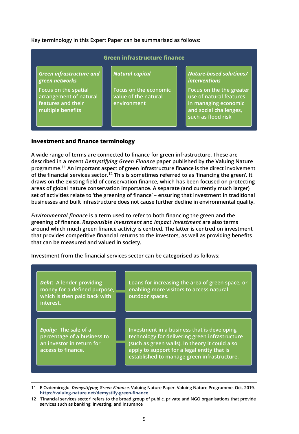**Key terminology in this Expert Paper can be summarised as follows:**

| Green infrastructure finance                                                              |                                                              |                                                                                                                             |  |  |  |
|-------------------------------------------------------------------------------------------|--------------------------------------------------------------|-----------------------------------------------------------------------------------------------------------------------------|--|--|--|
| <b>Green infrastructure and</b><br>green networks                                         | Natural capital                                              | Nature-based solutions/<br><i>interventions</i>                                                                             |  |  |  |
| Focus on the spatial<br>arrangement of natural<br>features and their<br>multiple benefits | Focus on the economic<br>value of the natural<br>environment | Focus on the the greater<br>use of natural features<br>in managing economic<br>and social challenges,<br>such as flood risk |  |  |  |

#### **Investment and finance terminology**

**A wide range of terms are connected to finance for green infrastructure. These are described in a recent** *Demystifying Green Finance* **paper published by the Valuing Nature programme.11 An important aspect of green infrastructure finance is the direct involvement of the financial services sector.12 This is sometimes referred to as 'financing the green'. It draws on the existing field of conservation finance, which has been focused on protecting areas of global nature conservation importance. A separate (and currently much larger) set of activities relate to 'the greening of finance' – ensuring that investment in traditional businesses and built infrastructure does not cause further decline in environmental quality.**

*Environmental finance* **is a term used to refer to both financing the green and the greening of finance.** *Responsible investment* **and** *impact investment* **are also terms around which much green finance activity is centred. The latter is centred on investment that provides competitive financial returns to the investors, as well as providing benefits that can be measured and valued in society.**

pace, or

ucture

**Investment from the financial services sector can be categorised as follows:**

| <b>Debt:</b> A lender providing<br>money for a defined purpose,<br>which is then paid back with<br>interest.   | Loans for increasing the area of green space<br>enabling more visitors to access natural<br>outdoor spaces.                                                                                                                                  |
|----------------------------------------------------------------------------------------------------------------|----------------------------------------------------------------------------------------------------------------------------------------------------------------------------------------------------------------------------------------------|
| <b>Equity:</b> The sale of a<br>percentage of a business to<br>an investor in return for<br>access to finance. | Investment in a business that is developing<br>technology for delivering green infrastructui<br>(such as green walls). In theory it could also<br>apply to support for a legal entity that is<br>established to manage green infrastructure. |

**12 'Financial services sector' refers to the broad group of public, private and NGO organisations that provide services such as banking, investing, and insurance**

**<sup>11</sup> E Ozdemiroglu:** *Demystifying Green Finance***. Valuing Nature Paper. Valuing Nature Programme, Oct. 2019. https://valuing-nature.net/demystify-green-finance**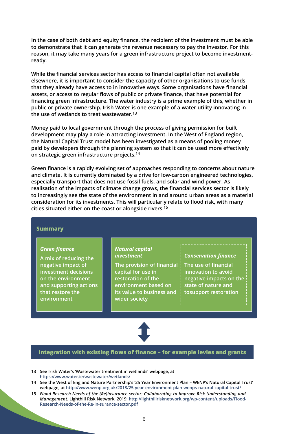**In the case of both debt and equity finance, the recipient of the investment must be able to demonstrate that it can generate the revenue necessary to pay the investor. For this reason, it may take many years for a green infrastructure project to become investmentready.**

**While the financial services sector has access to financial capital often not available elsewhere, it is important to consider the capacity of other organisations to use funds that they already have access to in innovative ways. Some organisations have financial assets, or access to regular flows of public or private finance, that have potential for financing green infrastructure. The water industry is a prime example of this, whether in public or private ownership. Irish Water is one example of a water utility innovating in the use of wetlands to treat wastewater.13**

**Money paid to local government through the process of giving permission for built development may play a role in attracting investment. In the West of England region, the Natural Capital Trust model has been investigated as a means of pooling money paid by developers through the planning system so that it can be used more effectively on strategic green infrastructure projects.14**

**Green finance is a rapidly evolving set of approaches responding to concerns about nature and climate. It is currently dominated by a drive for low-carbon engineered technologies, especially transport that does not use fossil fuels, and solar and wind power. As realisation of the impacts of climate change grows, the financial services sector is likely to increasingly see the state of the environment in and around urban areas as a material consideration for its investments. This will particularly relate to flood risk, with many cities situated either on the coast or alongside rivers.15**

#### **Summary**

#### *Green finance*

**A mix of reducing the negative impact of investment decisions on the environment and supporting actions that restore the environment**

#### *Natural capital investment*

**The provision of financial capital for use in restoration of the environment based on its value to business and wider society**

#### *Conservation finance*

**The use of financial innovation to avoid negative impacts on the state of nature and tosupport restoration**



#### **Integration with existing flows of finance** *–* **for example levies and grants**

**13 See Irish Water's 'Wastewater treatment in wetlands' webpage, at https://www.water.ie/wastewater/wetlands/**

**15** *Flood Research Needs of the (Re)insurance sector: Collaborating to Improve Risk Understanding and Management***. Lighthill Risk Network, 2019. http://lighthillrisknetwork.org/wp-content/uploads/Flood-Research-Needs-of-the-Re-in-surance-sector.pdf**

**<sup>14</sup> See the West of England Nature Partnership's '25 Year Environment Plan – WENP's Natural Capital Trust' webpage, at http://www.wenp.org.uk/2018/25-year-environment-plan-wenps-natural-capital-trust/**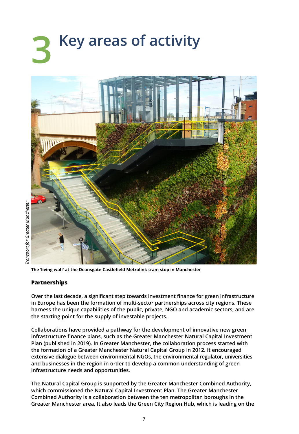## **Key areas of activity 3**



**The 'living wall' at the Deansgate-Castlefield Metrolink tram stop in Manchester**

#### **Partnerships**

**Over the last decade, a significant step towards investment finance for green infrastructure in Europe has been the formation of multi-sector partnerships across city regions. These harness the unique capabilities of the public, private, NGO and academic sectors, and are the starting point for the supply of investable projects.**

**Collaborations have provided a pathway for the development of innovative new green infrastructure finance plans, such as the Greater Manchester Natural Capital Investment Plan (published in 2019). In Greater Manchester, the collaboration process started with the formation of a Greater Manchester Natural Capital Group in 2012. It encouraged extensive dialogue between environmental NGOs, the environmental regulator, universities and businesses in the region in order to develop a common understanding of green infrastructure needs and opportunities.**

**The Natural Capital Group is supported by the Greater Manchester Combined Authority, which commissioned the Natural Capital Investment Plan. The Greater Manchester Combined Authority is a collaboration between the ten metropolitan boroughs in the Greater Manchester area. It also leads the Green City Region Hub, which is leading on the**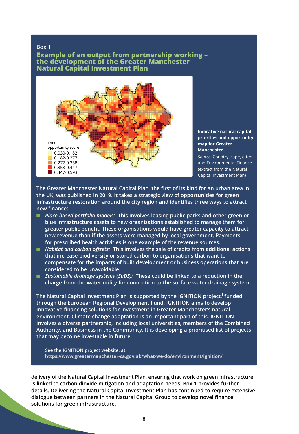#### **Box 1**

**Example of an output from partnership working – the development of the Greater Manchester Natural Capital Investment Plan**



**Indicative natural capital priorities and opportunity map for Greater Manchester**

*Source:* Countryscape, eftec, and Environmental Finance (extract from the Natural Capital Investment Plan)

**The Greater Manchester Natural Capital Plan, the first of its kind for an urban area in the UK, was published in 2019. It takes a strategic view of opportunities for green infrastructure restoration around the city region and identifies three ways to attract new finance:**

- *Place-based portfolio models:* **This involves leasing public parks and other green or blue infrastructure assets to new organisations established to manage them for greater public benefit. These organisations would have greater capacity to attract new revenue than if the assets were managed by local government. Payments for prescribed health activities is one example of the revenue sources.**
- *Habitat and carbon offsets:* **This involves the sale of credits from additional actions that increase biodiversity or stored carbon to organisations that want to compensate for the impacts of built development or business operations that are considered to be unavoidable.**
- *Sustainable drainage systems (SuDS)*: These could be linked to a reduction in the **charge from the water utility for connection to the surface water drainage system.**

**The Natural Capital Investment Plan is supported by the IGNITION project,i funded through the European Regional Development Fund. IGNITION aims to develop innovative financing solutions for investment in Greater Manchester's natural environment. Climate change adaptation is an important part of this. IGNITION involves a diverse partnership, including local universities, members of the Combined Authority, and Business in the Community. It is developing a prioritised list of projects that may become investable in future.** 

**i See the IGNITION project website, at https://www.greatermanchester-ca.gov.uk/what-we-do/environment/ignition/**

**delivery of the Natural Capital Investment Plan, ensuring that work on green infrastructure is linked to carbon dioxide mitigation and adaptation needs. Box 1 provides further details. Delivering the Natural Capital Investment Plan has continued to require extensive dialogue between partners in the Natural Capital Group to develop novel finance solutions for green infrastructure.**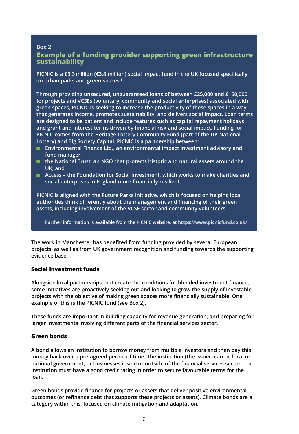#### **Box 2 Example of a funding provider supporting green infrastructure sustainability**

**PICNIC is a £3.3 million (€3.8 million) social impact fund in the UK focused specifically on urban parks and green spaces.i**

**Through providing unsecured, unguaranteed loans of between £25,000 and £150,000 for projects and VCSEs (voluntary, community and social enterprises) associated with green spaces, PICNIC is seeking to increase the productivity of these spaces in a way that generates income, promotes sustainability, and delivers social impact. Loan terms are designed to be patient and include features such as capital repayment holidays and grant and interest terms driven by financial risk and social impact. Funding for PICNIC comes from the Heritage Lottery Community Fund (part of the UK National Lottery) and Big Society Capital. PICNIC is a partnership between:**

- **Environmental Finance Ltd., an environmental impact investment advisory and fund manager;**
- the National Trust, an NGO that protects historic and natural assets around the **UK; and**
- **Access the Foundation for Social Investment, which works to make charities and social enterprises in England more financially resilient.**

**PICNIC is aligned with the Future Parks initiative, which is focused on helping local authorities think differently about the management and financing of their green assets, including involvement of the VCSE sector and community volunteers.**

**i Further information is available from the PICNIC website, at https://www.picnicfund.co.uk/**

**The work in Manchester has benefited from funding provided by several European projects, as well as from UK government recognition and funding towards the supporting evidence base.**

#### **Social investment funds**

**Alongside local partnerships that create the conditions for blended investment finance, some initiatives are proactively seeking out and looking to grow the supply of investable projects with the objective of making green spaces more financially sustainable. One example of this is the PICNIC fund (see Box 2).**

**These funds are important in building capacity for revenue generation, and preparing for larger investments involving different parts of the financial services sector.**

#### **Green bonds**

**A bond allows an institution to borrow money from multiple investors and then pay this money back over a pre-agreed period of time. The institution (the issuer) can be local or national government, or businesses inside or outside of the financial services sector. The institution must have a good credit rating in order to secure favourable terms for the loan.**

**Green bonds provide finance for projects or assets that deliver positive environmental outcomes (or refinance debt that supports these projects or assets). Climate bonds are a category within this, focused on climate mitigation and adaptation.**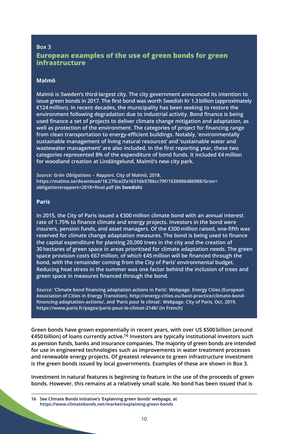#### **Box 3 European examples of the use of green bonds for green infrastructure**

#### **Malmö**

**Malmö is Sweden's third-largest city. The city government announced its intention to issue green bonds in 2017. The first bond was worth Swedish Kr 1.3 billion (approximately €124 million). In recent decades, the municipality has been seeking to restore the environment following degradation due to industrial activity. Bond finance is being used finance a set of projects to deliver climate change mitigation and adaptation, as well as protection of the environment. The categories of project for financing range from clean transportation to energy-efficient buildings. Notably, 'environmentally sustainable management of living natural resources' and 'sustainable water and wastewater management' are also included. In the first reporting year, these two categories represented 8% of the expenditure of bond funds. It included €4 million for woodland creation at Lindängelund, Malmö's new city park.**

*Source: Grön Obligations – Rapport***. City of Malmö, 2018. https://malmo.se/download/18.270ce2fa16316b5786cc79f/1526906486988/Gron+ obligationsrapport+2018+final.pdf (in Swedish)**

#### **Paris**

**In 2015, the City of Paris issued a €300 million climate bond with an annual interest rate of 1.75% to finance climate and energy projects. Investors in the bond were insurers, pension funds, and asset managers. Of the €300 million raised, one-fifth was reserved for climate change adaptation measures. The bond is being used to finance the capital expenditure for planting 20,000 trees in the city and the creation of 30 hectares of green space in areas prioritised for climate adaptation needs. The green space provision costs €67 million, of which €45 million will be financed through the bond, with the remainder coming from the City of Paris' environmental budget. Reducing heat stress in the summer was one factor behind the inclusion of trees and green space in measures financed through the bond.**

*Source:* **'Climate bond financing adaptation actions in Paris'. Webpage. Energy Cities (European Association of Cities in Energy Transition). http://energy-cities.eu/best-practice/climate-bondfinancing-adaptation-actions/, and 'Paris pour le climat'. Webpage. City of Paris, Oct. 2019. https://www.paris.fr/pages/paris-pour-le-climat-2148/ (in French)**

**Green bonds have grown exponentially in recent years, with over US \$500 billion (around €450 billion) of loans currently active.16 Investors are typically institutional investors such as pension funds, banks and insurance companies. The majority of green bonds are intended for use in engineered technologies such as improvements in water treatment processes and renewable energy projects. Of greatest relevance to green infrastructure investment is the green bonds issued by local governments. Examples of these are shown in Box 3.**

**Investment in natural features is beginning to feature in the use of the proceeds of green bonds. However, this remains at a relatively small scale. No bond has been issued that is**

**<sup>16</sup> See Climate Bonds Initiative's 'Explaining green bonds' webpage, at https://www.climatebonds.net/market/explaining-green-bonds**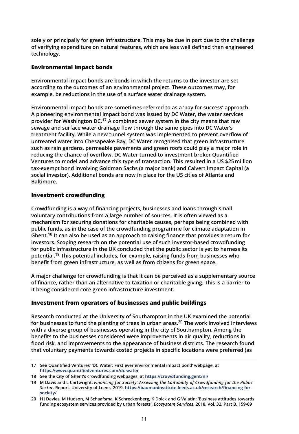**solely or principally for green infrastructure. This may be due in part due to the challenge of verifying expenditure on natural features, which are less well defined than engineered technology.**

#### **Environmental impact bonds**

**Environmental impact bonds are bonds in which the returns to the investor are set according to the outcomes of an environmental project. These outcomes may, for example, be reductions in the use of a surface water drainage system.**

**Environmental impact bonds are sometimes referred to as a 'pay for success' approach. A pioneering environmental impact bond was issued by DC Water, the water services provider for Washington DC.17 A combined sewer system in the city means that raw sewage and surface water drainage flow through the same pipes into DC Water's treatment facility. While a new tunnel system was implemented to prevent overflow of untreated water into Chesapeake Bay, DC Water recognised that green infrastructure such as rain gardens, permeable pavements and green roofs could play a major role in reducing the chance of overflow. DC Water turned to investment broker Quantified Ventures to model and advance this type of transaction. This resulted in a US \$25 million tax-exempt bond involving Goldman Sachs (a major bank) and Calvert Impact Capital (a social investor). Additional bonds are now in place for the US cities of Atlanta and Baltimore.**

#### **Investment crowdfunding**

**Crowdfunding is a way of financing projects, businesses and loans through small voluntary contributions from a large number of sources. It is often viewed as a mechanism for securing donations for charitable causes, perhaps being combined with public funds, as in the case of the crowdfunding programme for climate adaptation in Ghent.18 It can also be used as an approach to raising finance that provides a return for investors. Scoping research on the potential use of such investor-based crowdfunding for public infrastructure in the UK concluded that the public sector is yet to harness its potential.19 This potential includes, for example, raising funds from businesses who benefit from green infrastructure, as well as from citizens for green space.**

**A major challenge for crowdfunding is that it can be perceived as a supplementary source of finance, rather than an alternative to taxation or charitable giving. This is a barrier to it being considered core green infrastructure investment.**

#### **Investment from operators of businesses and public buildings**

**Research conducted at the University of Southampton in the UK examined the potential for businesses to fund the planting of trees in urban areas.20 The work involved interviews with a diverse group of businesses operating in the city of Southampton. Among the benefits to the businesses considered were improvements in air quality, reductions in flood risk, and improvements to the appearance of business districts. The research found that voluntary payments towards costed projects in specific locations were preferred (as**

**<sup>17</sup> See Quantified Ventures' 'DC Water: First ever environmental impact bond' webpage, at https://www.quantifiedventures.com/dc-water**

**<sup>18</sup> See the City of Ghent's crowdfunding webpages, at https://crowdfunding.gent/nl/**

**<sup>19</sup> M Davis and L Cartwright:** *Financing for Society: Assessing the Suitability of Crowdfunding for the Public Sector.* **Report. University of Leeds, 2019. https://baumaninstitute.leeds.ac.uk/research/financing-forsociety/**

**<sup>20</sup> HJ Davies, M Hudson, M Schaafsma, K Schreckenberg, K Doick and G Valatin: 'Business attitudes towards funding ecosystem services provided by urban forests'.** *Ecosystem Services***, 2018, Vol. 32, Part B, 159-69**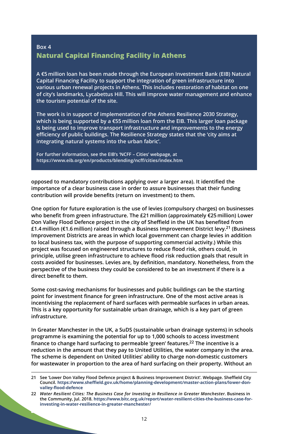### **Box 4 Natural Capital Financing Facility in Athens**

**A €5 million loan has been made through the European Investment Bank (EIB) Natural Capital Financing Facility to support the integration of green infrastructure into various urban renewal projects in Athens. This includes restoration of habitat on one of city's landmarks, Lycabettus Hill. This will improve water management and enhance the tourism potential of the site.**

**The work is in support of implementation of the Athens Resilience 2030 Strategy, which is being supported by a €55 million loan from the EIB. This larger loan package is being used to improve transport infrastructure and improvements to the energy efficiency of public buildings. The Resilience Strategy states that the 'city aims at integrating natural systems into the urban fabric'.**

**For further information, see the EIB's 'NCFF – Cities' webpage, at https://www.eib.org/en/products/blending/ncff/cities/index.htm**

**opposed to mandatory contributions applying over a larger area). It identified the importance of a clear business case in order to assure businesses that their funding contribution will provide benefits (return on investment) to them.**

**One option for future exploration is the use of levies (compulsory charges) on businesses who benefit from green infrastructure. The £21 million (approximately €25 million) Lower Don Valley Flood Defence project in the city of Sheffield in the UK has benefited from £1.4 million (€1.6 million) raised through a Business Improvement District levy.21 (Business Improvement Districts are areas in which local government can charge levies in addition to local business tax, with the purpose of supporting commercial activity.) While this project was focused on engineered structures to reduce flood risk, others could, in principle, utilise green infrastructure to achieve flood risk reduction goals that result in costs avoided for businesses. Levies are, by definition, mandatory. Nonetheless, from the perspective of the business they could be considered to be an investment if there is a direct benefit to them.**

**Some cost-saving mechanisms for businesses and public buildings can be the starting point for investment finance for green infrastructure. One of the most active areas is incentivising the replacement of hard surfaces with permeable surfaces in urban areas. This is a key opportunity for sustainable urban drainage, which is a key part of green infrastructure.**

**In Greater Manchester in the UK, a SuDS (sustainable urban drainage systems) in schools programme is examining the potential for up to 1,000 schools to access investment finance to change hard surfacing to permeable 'green' features.22 The incentive is a reduction in the amount that they pay to United Utilities, the water company in the area. The scheme is dependent on United Utilities' ability to charge non-domestic customers for wastewater in proportion to the area of hard surfacing on their property. Without an**

**<sup>21</sup> See 'Lower Don Valley Flood Defence project & Business Improvement District'. Webpage. Sheffield City Council. https://www.sheffield.gov.uk/home/planning-development/master-action-plans/lower-donvalley-flood-defence**

**<sup>22</sup>** *Water Resilient Cities: The Business Case for Investing in Resilience in Greater Manchester***. Business in the Community, Jul. 2018. https://www.bitc.org.uk/report/water-resilient-cities-the-business-case-forinvesting-in-water-resilience-in-greater-manchester/**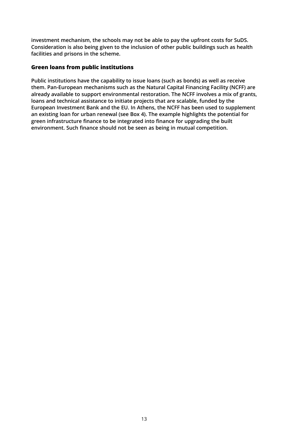**investment mechanism, the schools may not be able to pay the upfront costs for SuDS. Consideration is also being given to the inclusion of other public buildings such as health facilities and prisons in the scheme.**

#### **Green loans from public institutions**

**Public institutions have the capability to issue loans (such as bonds) as well as receive them. Pan-European mechanisms such as the Natural Capital Financing Facility (NCFF) are already available to support environmental restoration. The NCFF involves a mix of grants, loans and technical assistance to initiate projects that are scalable, funded by the European Investment Bank and the EU. In Athens, the NCFF has been used to supplement an existing loan for urban renewal (see Box 4). The example highlights the potential for green infrastructure finance to be integrated into finance for upgrading the built environment. Such finance should not be seen as being in mutual competition.**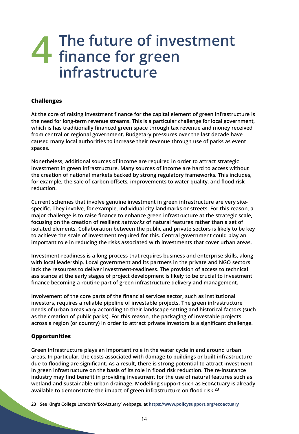### **The future of investment finance for green infrastructure 4**

#### **Challenges**

**At the core of raising investment finance for the capital element of green infrastructure is the need for long-term revenue streams. This is a particular challenge for local government, which is has traditionally financed green space through tax revenue and money received from central or regional government. Budgetary pressures over the last decade have caused many local authorities to increase their revenue through use of parks as event spaces.**

**Nonetheless, additional sources of income are required in order to attract strategic investment in green infrastructure. Many sources of income are hard to access without the creation of national markets backed by strong regulatory frameworks. This includes, for example, the sale of carbon offsets, improvements to water quality, and flood risk reduction.**

**Current schemes that involve genuine investment in green infrastructure are very sitespecific. They involve, for example, individual city landmarks or streets. For this reason, a major challenge is to raise finance to enhance green infrastructure at the strategic scale, focusing on the creation of resilient** *networks* **of natural features rather than a set of isolated elements. Collaboration between the public and private sectors is likely to be key to achieve the scale of investment required for this. Central government could play an important role in reducing the risks associated with investments that cover urban areas.**

**Investment-readiness is a long process that requires business and enterprise skills, along with local leadership. Local government and its partners in the private and NGO sectors lack the resources to deliver investment-readiness. The provision of access to technical assistance at the early stages of project development is likely to be crucial to investment finance becoming a routine part of green infrastructure delivery and management.**

**Involvement of the core parts of the financial services sector, such as institutional investors, requires a reliable pipeline of investable projects. The green infrastructure needs of urban areas vary according to their landscape setting and historical factors (such as the creation of public parks). For this reason, the packaging of investable projects across a region (or country) in order to attract private investors is a significant challenge.**

#### **Opportunities**

**Green infrastructure plays an important role in the water cycle in and around urban areas. In particular, the costs associated with damage to buildings or built infrastructure due to flooding are significant. As a result, there is strong potential to attract investment in green infrastructure on the basis of its role in flood risk reduction. The re-insurance industry may find benefit in providing investment for the use of natural features such as wetland and sustainable urban drainage. Modelling support such as EcoActuary is already available to demonstrate the impact of green infrastructure on flood risk.23**

**<sup>23</sup> See King's College London's 'EcoActuary' webpage, at https://www.policysupport.org/ecoactuary**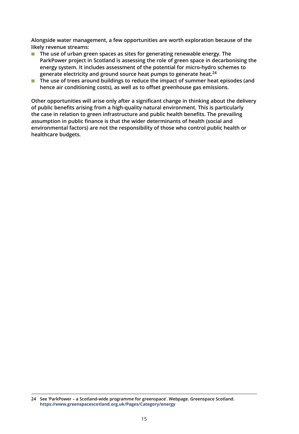**Alongside water management, a few opportunities are worth exploration because of the likely revenue streams:**

- **The use of urban green spaces as sites for generating renewable energy. The ParkPower project in Scotland is assessing the role of green space in decarbonising the energy system. It includes assessment of the potential for micro-hydro schemes to generate electricity and ground source heat pumps to generate heat.24**
- **The use of trees around buildings to reduce the impact of summer heat episodes (and hence air conditioning costs), as well as to offset greenhouse gas emissions.**

**Other opportunities will arise only after a significant change in thinking about the delivery of public benefits arising from a high-quality natural environment. This is particularly the case in relation to green infrastructure and public health benefits. The prevailing assumption in public finance is that the wider determinants of health (social and environmental factors) are not the responsibility of those who control public health or healthcare budgets.**

**<sup>24</sup> See 'ParkPower – a Scotland-wide programme for greenspace'. Webpage. Greenspace Scotland. https://www.greenspacescotland.org.uk/Pages/Category/energy**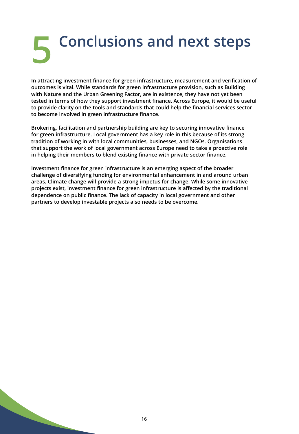## **Conclusions and next steps 5**

**In attracting investment finance for green infrastructure, measurement and verification of outcomes is vital. While standards for green infrastructure provision, such as Building with Nature and the Urban Greening Factor, are in existence, they have not yet been tested in terms of how they support investment finance. Across Europe, it would be useful to provide clarity on the tools and standards that could help the financial services sector to become involved in green infrastructure finance.**

**Brokering, facilitation and partnership building are key to securing innovative finance for green infrastructure. Local government has a key role in this because of its strong tradition of working in with local communities, businesses, and NGOs. Organisations that support the work of local government across Europe need to take a proactive role in helping their members to blend existing finance with private sector finance.**

**Investment finance for green infrastructure is an emerging aspect of the broader challenge of diversifying funding for environmental enhancement in and around urban areas. Climate change will provide a strong impetus for change. While some innovative projects exist, investment finance for green infrastructure is affected by the traditional dependence on public finance. The lack of capacity in local government and other partners to develop investable projects also needs to be overcome.**